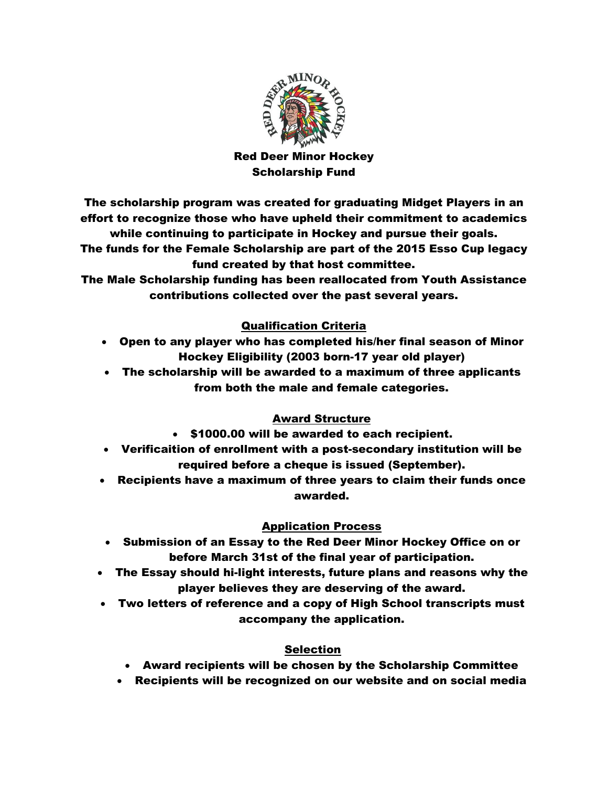

## Red Deer Minor Hockey Scholarship Fund

The scholarship program was created for graduating Midget Players in an effort to recognize those who have upheld their commitment to academics while continuing to participate in Hockey and pursue their goals. The funds for the Female Scholarship are part of the 2015 Esso Cup legacy fund created by that host committee.

The Male Scholarship funding has been reallocated from Youth Assistance contributions collected over the past several years.

## Qualification Criteria

- Open to any player who has completed his/her final season of Minor Hockey Eligibility (2003 born-17 year old player)
- The scholarship will be awarded to a maximum of three applicants from both the male and female categories.

#### Award Structure

- \$1000.00 will be awarded to each recipient.
- Verificaition of enrollment with a post-secondary institution will be required before a cheque is issued (September).
- Recipients have a maximum of three years to claim their funds once awarded.

## Application Process

- Submission of an Essay to the Red Deer Minor Hockey Office on or before March 31st of the final year of participation.
- The Essay should hi-light interests, future plans and reasons why the player believes they are deserving of the award.
- Two letters of reference and a copy of High School transcripts must accompany the application.

#### Selection

- Award recipients will be chosen by the Scholarship Committee
- Recipients will be recognized on our website and on social media